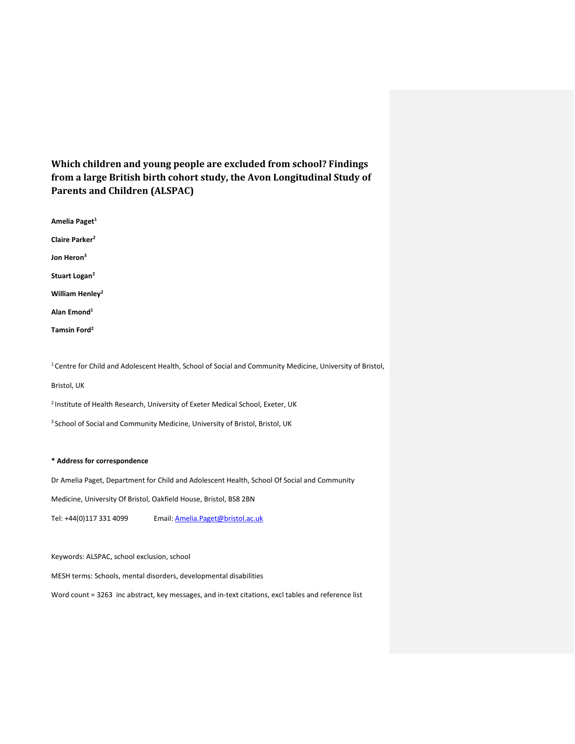**Which children and young people are excluded from school? Findings from a large British birth cohort study, the Avon Longitudinal Study of Parents and Children (ALSPAC)**

**Amelia Paget<sup>1</sup> Claire Parker<sup>2</sup> Jon Heron<sup>3</sup> Stuart Logan<sup>2</sup> William Henley<sup>2</sup>**

**Alan Emond<sup>1</sup>**

**Tamsin Ford<sup>2</sup>**

<sup>1</sup>Centre for Child and Adolescent Health, School of Social and Community Medicine, University of Bristol,

Bristol, UK

<sup>2</sup> Institute of Health Research, University of Exeter Medical School, Exeter, UK

<sup>3</sup> School of Social and Community Medicine, University of Bristol, Bristol, UK

#### **\* Address for correspondence**

Dr Amelia Paget, Department for Child and Adolescent Health, School Of Social and Community

Medicine, University Of Bristol, Oakfield House, Bristol, BS8 2BN

Tel: +44(0)117 331 4099 Email: [Amelia.Paget@bristol.ac.uk](mailto:Amelia.Paget@bristol.ac.uk)

Keywords: ALSPAC, school exclusion, school

MESH terms: Schools, mental disorders, developmental disabilities

Word count = 3263 inc abstract, key messages, and in-text citations, excl tables and reference list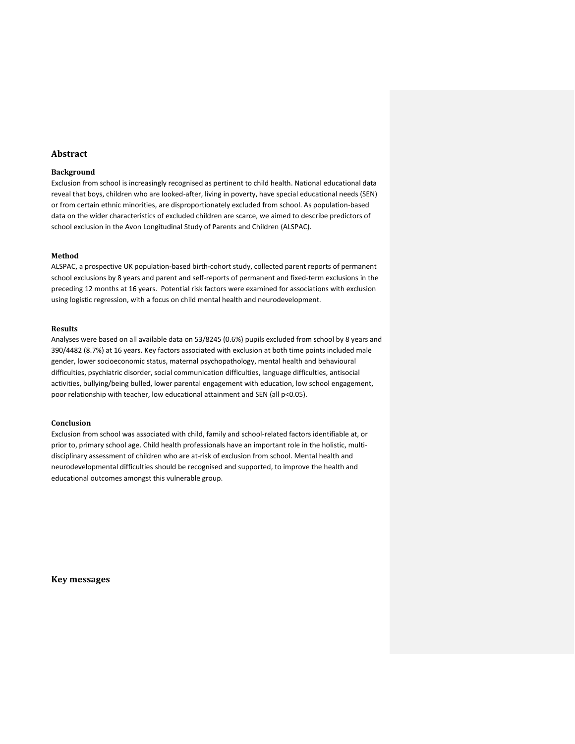## **Abstract**

#### **Background**

Exclusion from school is increasingly recognised as pertinent to child health. National educational data reveal that boys, children who are looked-after, living in poverty, have special educational needs (SEN) or from certain ethnic minorities, are disproportionately excluded from school. As population-based data on the wider characteristics of excluded children are scarce, we aimed to describe predictors of school exclusion in the Avon Longitudinal Study of Parents and Children (ALSPAC).

#### **Method**

ALSPAC, a prospective UK population-based birth-cohort study, collected parent reports of permanent school exclusions by 8 years and parent and self-reports of permanent and fixed-term exclusions in the preceding 12 months at 16 years. Potential risk factors were examined for associations with exclusion using logistic regression, with a focus on child mental health and neurodevelopment.

#### **Results**

Analyses were based on all available data on 53/8245 (0.6%) pupils excluded from school by 8 years and 390/4482 (8.7%) at 16 years. Key factors associated with exclusion at both time points included male gender, lower socioeconomic status, maternal psychopathology, mental health and behavioural difficulties, psychiatric disorder, social communication difficulties, language difficulties, antisocial activities, bullying/being bulled, lower parental engagement with education, low school engagement, poor relationship with teacher, low educational attainment and SEN (all p<0.05).

#### **Conclusion**

Exclusion from school was associated with child, family and school-related factors identifiable at, or prior to, primary school age. Child health professionals have an important role in the holistic, multidisciplinary assessment of children who are at-risk of exclusion from school. Mental health and neurodevelopmental difficulties should be recognised and supported, to improve the health and educational outcomes amongst this vulnerable group.

**Key messages**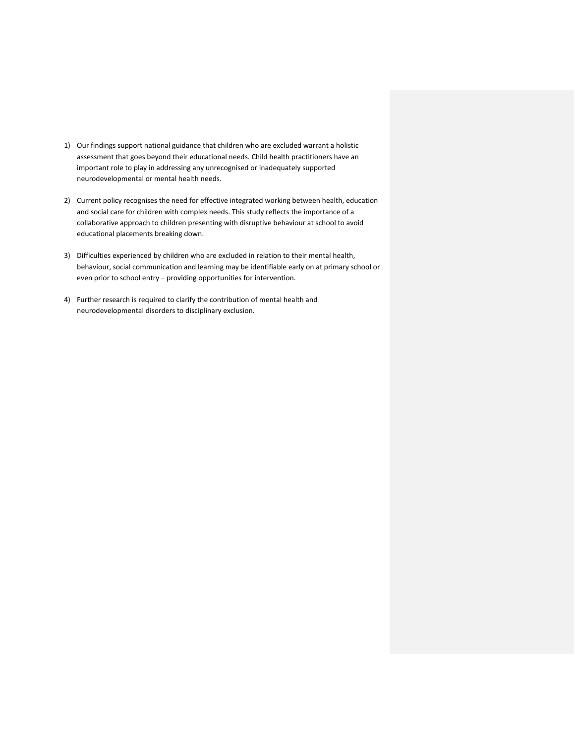- 1) Our findings support national guidance that children who are excluded warrant a holistic assessment that goes beyond their educational needs. Child health practitioners have an important role to play in addressing any unrecognised or inadequately supported neurodevelopmental or mental health needs.
- 2) Current policy recognises the need for effective integrated working between health, education and social care for children with complex needs. This study reflects the importance of a collaborative approach to children presenting with disruptive behaviour at school to avoid educational placements breaking down.
- 3) Difficulties experienced by children who are excluded in relation to their mental health, behaviour, social communication and learning may be identifiable early on at primary school or even prior to school entry – providing opportunities for intervention.
- 4) Further research is required to clarify the contribution of mental health and neurodevelopmental disorders to disciplinary exclusion.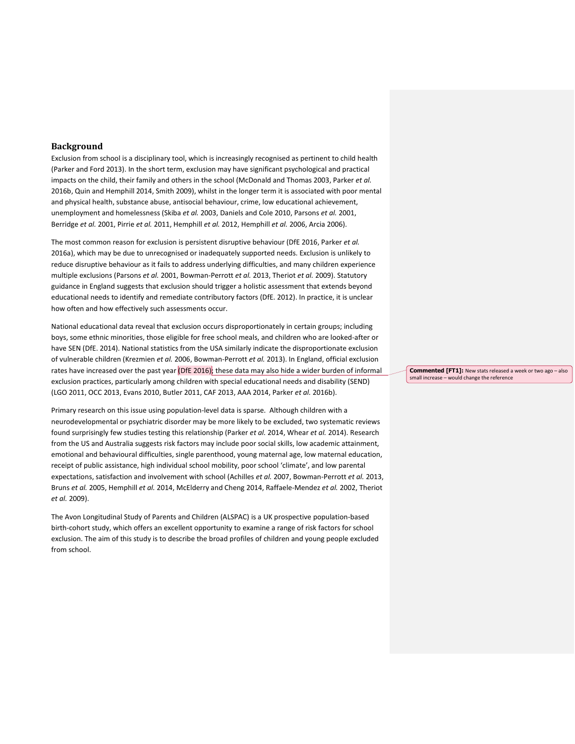## **Background**

Exclusion from school is a disciplinary tool, which is increasingly recognised as pertinent to child health [\(Parker and Ford 2013\)](#page-20-0). In the short term, exclusion may have significant psychological and practical impacts on the child, their family and others in the school [\(McDonald and Thomas 2003,](#page-20-1) [Parker](#page-20-2) *et al.* [2016b,](#page-20-2) [Quin and Hemphill 2014,](#page-20-3) [Smith 2009\)](#page-21-0), whilst in the longer term it is associated with poor mental and physical health, substance abuse, antisocial behaviour, crime, low educational achievement, unemployment and homelessness [\(Skiba](#page-21-1) *et al.* 2003, [Daniels and Cole 2010,](#page-18-0) [Parsons](#page-20-4) *et al.* 2001, [Berridge](#page-18-1) *et al.* 2001[, Pirrie](#page-20-5) *et al.* 2011, [Hemphill](#page-19-0) *et al.* 2012[, Hemphill](#page-19-1) *et al.* 2006, [Arcia 2006\)](#page-18-2).

The most common reason for exclusion is persistent disruptive behaviour [\(DfE 2016,](#page-18-3) [Parker](#page-20-6) *et al.* [2016a\)](#page-20-6), which may be due to unrecognised or inadequately supported needs. Exclusion is unlikely to reduce disruptive behaviour as it fails to address underlying difficulties, and many children experience multiple exclusions [\(Parsons](#page-20-4) *et al.* 2001[, Bowman-Perrott](#page-18-4) *et al.* 2013, [Theriot](#page-21-2) *et al.* 2009). Statutory guidance in England suggests that exclusion should trigger a holistic assessment that extends beyond educational needs to identify and remediate contributory factors [\(DfE. 2012\)](#page-18-5). In practice, it is unclear how often and how effectively such assessments occur.

National educational data reveal that exclusion occurs disproportionately in certain groups; including boys, some ethnic minorities, those eligible for free school meals, and children who are looked-after or have SEN [\(DfE. 2014\)](#page-18-6). National statistics from the USA similarly indicate the disproportionate exclusion of vulnerable children [\(Krezmien](#page-19-2) *et al.* 2006, [Bowman-Perrott](#page-18-4) *et al.* 2013). In England, official exclusion rates have increased over the past year [\(DfE 2016\)](#page-18-3); these data may also hide a wider burden of informal exclusion practices, particularly among children with special educational needs and disability (SEND) [\(LGO 2011,](#page-19-3) OCC [2013,](#page-20-7) [Evans 2010,](#page-18-7) [Butler 2011,](#page-18-8) [CAF 2013,](#page-18-9) [AAA 2014,](#page-18-10) [Parker](#page-20-2) *et al.* 2016b).

Primary research on this issue using population-level data is sparse. Although children with a neurodevelopmental or psychiatric disorder may be more likely to be excluded, two systematic reviews found surprisingly few studies testing this relationship [\(Parker](#page-20-8) *et al.* 2014[, Whear](#page-21-3) *et al.* 2014). Research from the US and Australia suggests risk factors may include poor social skills, low academic attainment, emotional and behavioural difficulties, single parenthood, young maternal age, low maternal education, receipt of public assistance, high individual school mobility, poor school 'climate', and low parental expectations, satisfaction and involvement with school [\(Achilles](#page-18-11) *et al.* 2007, [Bowman-Perrott](#page-18-4) *et al.* 2013, [Bruns](#page-18-12) *et al.* 2005, [Hemphill](#page-19-4) *et al.* 2014[, McElderry and Cheng 2014,](#page-20-9) [Raffaele-Mendez](#page-21-4) *et al.* 2002, [Theriot](#page-21-2) *et al.* [2009\)](#page-21-2).

The Avon Longitudinal Study of Parents and Children (ALSPAC) is a UK prospective population-based birth-cohort study, which offers an excellent opportunity to examine a range of risk factors for school exclusion. The aim of this study is to describe the broad profiles of children and young people excluded from school.

**Commented [FT1]:** New stats released a week or two ago – also small increase – would change the reference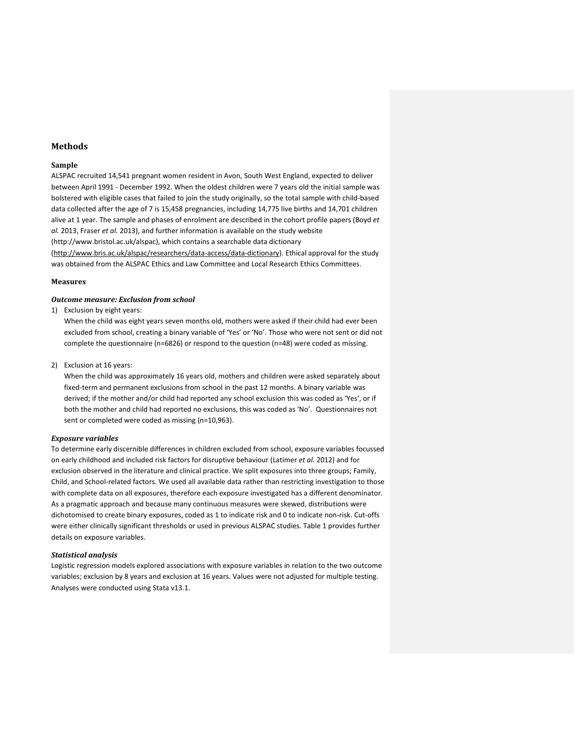## **Methods**

## **Sample**

ALSPAC recruited 14,541 pregnant women resident in Avon, South West England, expected to deliver between April 1991 - December 1992. When the oldest children were 7 years old the initial sample was bolstered with eligible cases that failed to join the study originally, so the total sample with child-based data collected after the age of 7 is 15,458 pregnancies, including 14,775 live births and 14,701 children alive at 1 year. The sample and phases of enrolment are described in the cohort profile papers [\(Boyd](#page-18-13) *et al.* [2013,](#page-18-13) [Fraser](#page-19-5) *et al.* 2013), and further information is available on the study website (http://www.bristol.ac.uk/alspac), which contains a searchable data dictionary [\(http://www.bris.ac.uk/alspac/researchers/data-access/data-dictionary\)](http://www.bris.ac.uk/alspac/researchers/data-access/data-dictionary). Ethical approval for the study was obtained from the ALSPAC Ethics and Law Committee and Local Research Ethics Committees.

#### **Measures**

## *Outcome measure: Exclusion from school*

1) Exclusion by eight years:

When the child was eight years seven months old, mothers were asked if their child had ever been excluded from school, creating a binary variable of 'Yes' or 'No'. Those who were not sent or did not complete the questionnaire (n=6826) or respond to the question (n=48) were coded as missing.

2) Exclusion at 16 years:

When the child was approximately 16 years old, mothers and children were asked separately about fixed-term and permanent exclusions from school in the past 12 months. A binary variable was derived; if the mother and/or child had reported any school exclusion this was coded as 'Yes', or if both the mother and child had reported no exclusions, this was coded as 'No'. Questionnaires not sent or completed were coded as missing (n=10,963).

#### *Exposure variables*

To determine early discernible differences in children excluded from school, exposure variables focussed on early childhood and included risk factors for disruptive behaviour [\(Latimer](#page-19-6) *et al.* 2012) and for exclusion observed in the literature and clinical practice. We split exposures into three groups; Family, Child, and School-related factors. We used all available data rather than restricting investigation to those with complete data on all exposures, therefore each exposure investigated has a different denominator. As a pragmatic approach and because many continuous measures were skewed, distributions were dichotomised to create binary exposures, coded as 1 to indicate risk and 0 to indicate non-risk. Cut-offs were either clinically significant thresholds or used in previous ALSPAC studies. Table 1 provides further details on exposure variables.

#### *Statistical analysis*

Logistic regression models explored associations with exposure variables in relation to the two outcome variables; exclusion by 8 years and exclusion at 16 years. Values were not adjusted for multiple testing. Analyses were conducted using Stata v13.1.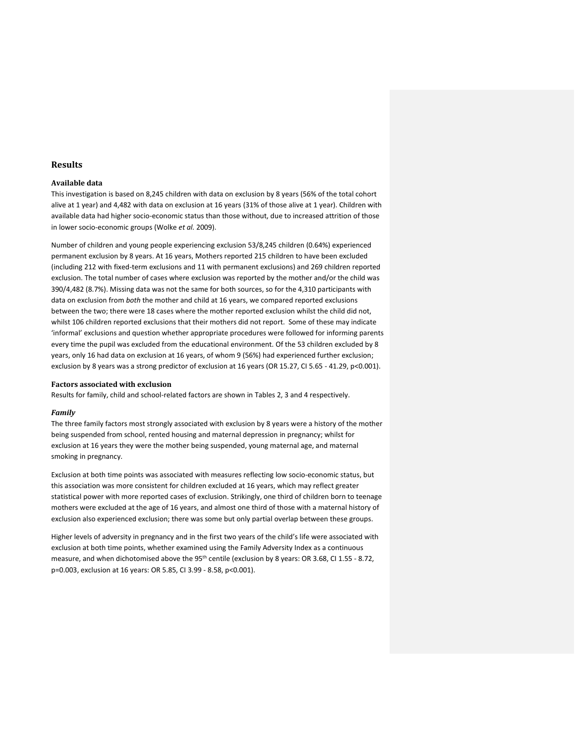# **Results**

## **Available data**

This investigation is based on 8,245 children with data on exclusion by 8 years (56% of the total cohort alive at 1 year) and 4,482 with data on exclusion at 16 years (31% of those alive at 1 year). Children with available data had higher socio-economic status than those without, due to increased attrition of those in lower socio-economic groups [\(Wolke](#page-21-5) *et al.* 2009).

Number of children and young people experiencing exclusion 53/8,245 children (0.64%) experienced permanent exclusion by 8 years. At 16 years, Mothers reported 215 children to have been excluded (including 212 with fixed-term exclusions and 11 with permanent exclusions) and 269 children reported exclusion. The total number of cases where exclusion was reported by the mother and/or the child was 390/4,482 (8.7%). Missing data was not the same for both sources, so for the 4,310 participants with data on exclusion from *both* the mother and child at 16 years, we compared reported exclusions between the two; there were 18 cases where the mother reported exclusion whilst the child did not, whilst 106 children reported exclusions that their mothers did not report. Some of these may indicate 'informal' exclusions and question whether appropriate procedures were followed for informing parents every time the pupil was excluded from the educational environment. Of the 53 children excluded by 8 years, only 16 had data on exclusion at 16 years, of whom 9 (56%) had experienced further exclusion; exclusion by 8 years was a strong predictor of exclusion at 16 years (OR 15.27, CI 5.65 - 41.29, p<0.001).

#### **Factors associated with exclusion**

Results for family, child and school-related factors are shown in Tables 2, 3 and 4 respectively.

#### *Family*

The three family factors most strongly associated with exclusion by 8 years were a history of the mother being suspended from school, rented housing and maternal depression in pregnancy; whilst for exclusion at 16 years they were the mother being suspended, young maternal age, and maternal smoking in pregnancy.

Exclusion at both time points was associated with measures reflecting low socio-economic status, but this association was more consistent for children excluded at 16 years, which may reflect greater statistical power with more reported cases of exclusion. Strikingly, one third of children born to teenage mothers were excluded at the age of 16 years, and almost one third of those with a maternal history of exclusion also experienced exclusion; there was some but only partial overlap between these groups.

Higher levels of adversity in pregnancy and in the first two years of the child's life were associated with exclusion at both time points, whether examined using the Family Adversity Index as a continuous measure, and when dichotomised above the 95<sup>th</sup> centile (exclusion by 8 years: OR 3.68, CI 1.55 - 8.72, p=0.003, exclusion at 16 years: OR 5.85, CI 3.99 - 8.58, p<0.001).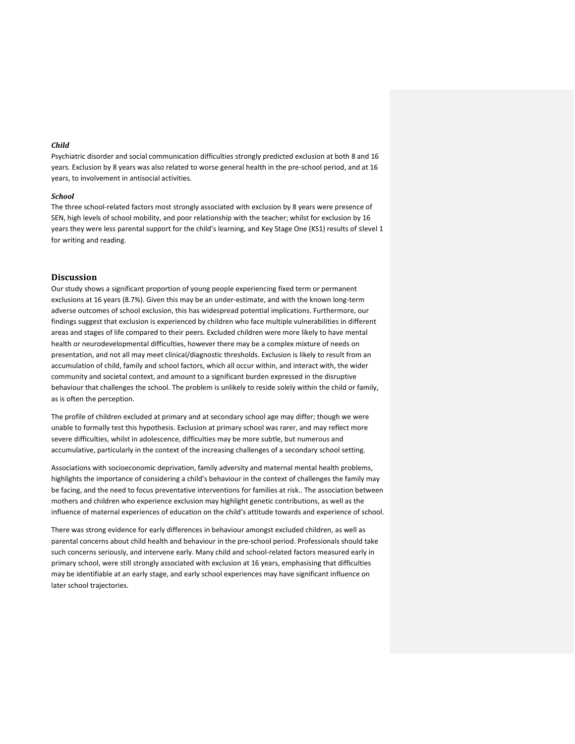## *Child*

Psychiatric disorder and social communication difficulties strongly predicted exclusion at both 8 and 16 years. Exclusion by 8 years was also related to worse general health in the pre-school period, and at 16 years, to involvement in antisocial activities.

#### *School*

The three school-related factors most strongly associated with exclusion by 8 years were presence of SEN, high levels of school mobility, and poor relationship with the teacher; whilst for exclusion by 16 years they were less parental support for the child's learning, and Key Stage One (KS1) results of ≤level 1 for writing and reading.

## **Discussion**

Our study shows a significant proportion of young people experiencing fixed term or permanent exclusions at 16 years (8.7%). Given this may be an under-estimate, and with the known long-term adverse outcomes of school exclusion, this has widespread potential implications. Furthermore, our findings suggest that exclusion is experienced by children who face multiple vulnerabilities in different areas and stages of life compared to their peers. Excluded children were more likely to have mental health or neurodevelopmental difficulties, however there may be a complex mixture of needs on presentation, and not all may meet clinical/diagnostic thresholds. Exclusion is likely to result from an accumulation of child, family and school factors, which all occur within, and interact with, the wider community and societal context, and amount to a significant burden expressed in the disruptive behaviour that challenges the school. The problem is unlikely to reside solely within the child or family, as is often the perception.

The profile of children excluded at primary and at secondary school age may differ; though we were unable to formally test this hypothesis. Exclusion at primary school was rarer, and may reflect more severe difficulties, whilst in adolescence, difficulties may be more subtle, but numerous and accumulative, particularly in the context of the increasing challenges of a secondary school setting.

Associations with socioeconomic deprivation, family adversity and maternal mental health problems, highlights the importance of considering a child's behaviour in the context of challenges the family may be facing, and the need to focus preventative interventions for families at risk.. The association between mothers and children who experience exclusion may highlight genetic contributions, as well as the influence of maternal experiences of education on the child's attitude towards and experience of school.

There was strong evidence for early differences in behaviour amongst excluded children, as well as parental concerns about child health and behaviour in the pre-school period. Professionals should take such concerns seriously, and intervene early. Many child and school-related factors measured early in primary school, were still strongly associated with exclusion at 16 years, emphasising that difficulties may be identifiable at an early stage, and early school experiences may have significant influence on later school trajectories.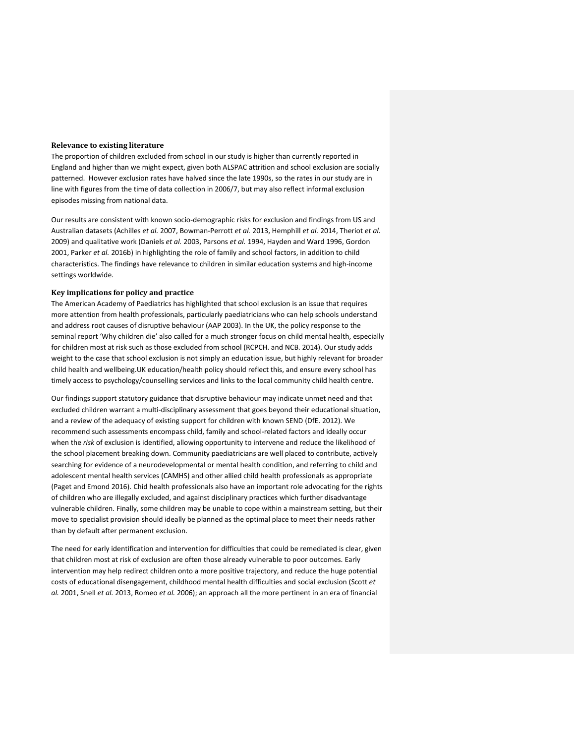#### **Relevance to existing literature**

The proportion of children excluded from school in our study is higher than currently reported in England and higher than we might expect, given both ALSPAC attrition and school exclusion are socially patterned. However exclusion rates have halved since the late 1990s, so the rates in our study are in line with figures from the time of data collection in 2006/7, but may also reflect informal exclusion episodes missing from national data.

Our results are consistent with known socio-demographic risks for exclusion and findings from US and Australian datasets [\(Achilles](#page-18-11) *et al.* 2007, [Bowman-Perrott](#page-18-4) *et al.* 2013, [Hemphill](#page-19-4) *et al.* 2014, [Theriot](#page-21-2) *et al.* [2009\)](#page-21-2) and qualitative work [\(Daniels](#page-18-14) *et al.* 2003, [Parsons](#page-20-10) *et al.* 1994, [Hayden and Ward 1996,](#page-19-7) [Gordon](#page-19-8)  [2001,](#page-19-8) [Parker](#page-20-2) *et al.* 2016b) in highlighting the role of family and school factors, in addition to child characteristics. The findings have relevance to children in similar education systems and high-income settings worldwide.

#### **Key implications for policy and practice**

The American Academy of Paediatrics has highlighted that school exclusion is an issue that requires more attention from health professionals, particularly paediatricians who can help schools understand and address root causes of disruptive behaviour [\(AAP 2003\)](#page-18-15). In the UK, the policy response to the seminal report 'Why children die' also called for a much stronger focus on child mental health, especially for children most at risk such as those excluded from school [\(RCPCH. and NCB. 2014\)](#page-21-6). Our study adds weight to the case that school exclusion is not simply an education issue, but highly relevant for broader child health and wellbeing.UK education/health policy should reflect this, and ensure every school has timely access to psychology/counselling services and links to the local community child health centre.

Our findings support statutory guidance that disruptive behaviour may indicate unmet need and that excluded children warrant a multi-disciplinary assessment that goes beyond their educational situation, and a review of the adequacy of existing support for children with known SEND [\(DfE. 2012\)](#page-18-5). We recommend such assessments encompass child, family and school-related factors and ideally occur when the *risk* of exclusion is identified, allowing opportunity to intervene and reduce the likelihood of the school placement breaking down. Community paediatricians are well placed to contribute, actively searching for evidence of a neurodevelopmental or mental health condition, and referring to child and adolescent mental health services (CAMHS) and other allied child health professionals as appropriate [\(Paget and Emond 2016\)](#page-20-11). Chid health professionals also have an important role advocating for the rights of children who are illegally excluded, and against disciplinary practices which further disadvantage vulnerable children. Finally, some children may be unable to cope within a mainstream setting, but their move to specialist provision should ideally be planned as the optimal place to meet their needs rather than by default after permanent exclusion.

The need for early identification and intervention for difficulties that could be remediated is clear, given that children most at risk of exclusion are often those already vulnerable to poor outcomes. Early intervention may help redirect children onto a more positive trajectory, and reduce the huge potential costs of educational disengagement, childhood mental health difficulties and social exclusion [\(Scott](#page-21-7) *et al.* [2001,](#page-21-7) Snell *et al.* [2013,](#page-21-8) [Romeo](#page-21-9) *et al.* 2006); an approach all the more pertinent in an era of financial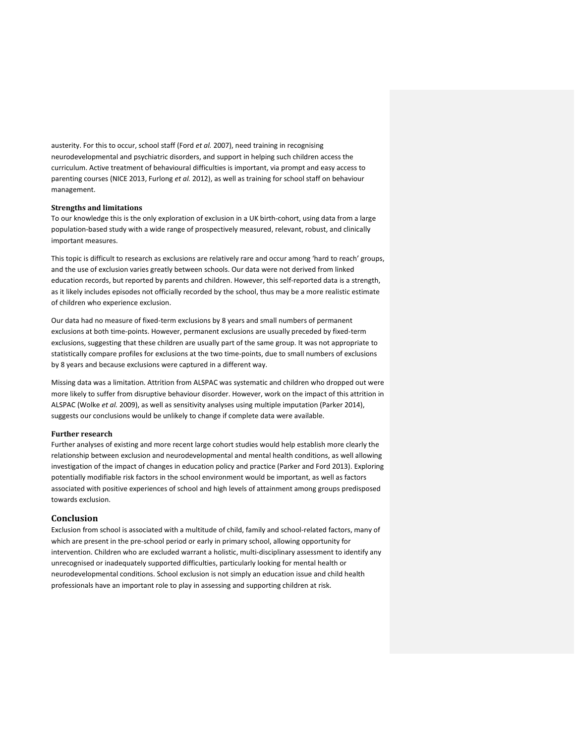austerity. For this to occur, school staff (Ford *et al.* [2007\)](#page-19-9), need training in recognising neurodevelopmental and psychiatric disorders, and support in helping such children access the curriculum. Active treatment of behavioural difficulties is important, via prompt and easy access to parenting courses [\(NICE 2013,](#page-20-12) [Furlong](#page-19-10) *et al.* 2012), as well as training for school staff on behaviour management.

## **Strengths and limitations**

To our knowledge this is the only exploration of exclusion in a UK birth-cohort, using data from a large population-based study with a wide range of prospectively measured, relevant, robust, and clinically important measures.

This topic is difficult to research as exclusions are relatively rare and occur among 'hard to reach' groups, and the use of exclusion varies greatly between schools. Our data were not derived from linked education records, but reported by parents and children. However, this self-reported data is a strength, as it likely includes episodes not officially recorded by the school, thus may be a more realistic estimate of children who experience exclusion.

Our data had no measure of fixed-term exclusions by 8 years and small numbers of permanent exclusions at both time-points. However, permanent exclusions are usually preceded by fixed-term exclusions, suggesting that these children are usually part of the same group. It was not appropriate to statistically compare profiles for exclusions at the two time-points, due to small numbers of exclusions by 8 years and because exclusions were captured in a different way.

Missing data was a limitation. Attrition from ALSPAC was systematic and children who dropped out were more likely to suffer from disruptive behaviour disorder. However, work on the impact of this attrition in ALSPAC [\(Wolke](#page-21-5) *et al.* 2009), as well as sensitivity analyses using multiple imputation [\(Parker 2014\)](#page-20-13), suggests our conclusions would be unlikely to change if complete data were available.

## **Further research**

Further analyses of existing and more recent large cohort studies would help establish more clearly the relationship between exclusion and neurodevelopmental and mental health conditions, as well allowing investigation of the impact of changes in education policy and practice [\(Parker and Ford 2013\)](#page-20-0). Exploring potentially modifiable risk factors in the school environment would be important, as well as factors associated with positive experiences of school and high levels of attainment among groups predisposed towards exclusion.

## **Conclusion**

Exclusion from school is associated with a multitude of child, family and school-related factors, many of which are present in the pre-school period or early in primary school, allowing opportunity for intervention. Children who are excluded warrant a holistic, multi-disciplinary assessment to identify any unrecognised or inadequately supported difficulties, particularly looking for mental health or neurodevelopmental conditions. School exclusion is not simply an education issue and child health professionals have an important role to play in assessing and supporting children at risk.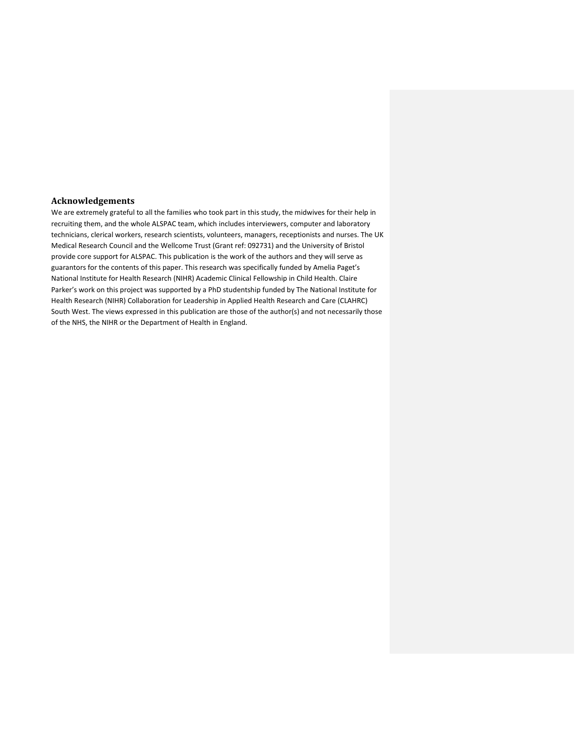# **Acknowledgements**

We are extremely grateful to all the families who took part in this study, the midwives for their help in recruiting them, and the whole ALSPAC team, which includes interviewers, computer and laboratory technicians, clerical workers, research scientists, volunteers, managers, receptionists and nurses. The UK Medical Research Council and the Wellcome Trust (Grant ref: 092731) and the University of Bristol provide core support for ALSPAC. This publication is the work of the authors and they will serve as guarantors for the contents of this paper. This research was specifically funded by Amelia Paget's National Institute for Health Research (NIHR) Academic Clinical Fellowship in Child Health. Claire Parker's work on this project was supported by a PhD studentship funded by The National Institute for Health Research (NIHR) Collaboration for Leadership in Applied Health Research and Care (CLAHRC) South West. The views expressed in this publication are those of the author(s) and not necessarily those of the NHS, the NIHR or the Department of Health in England.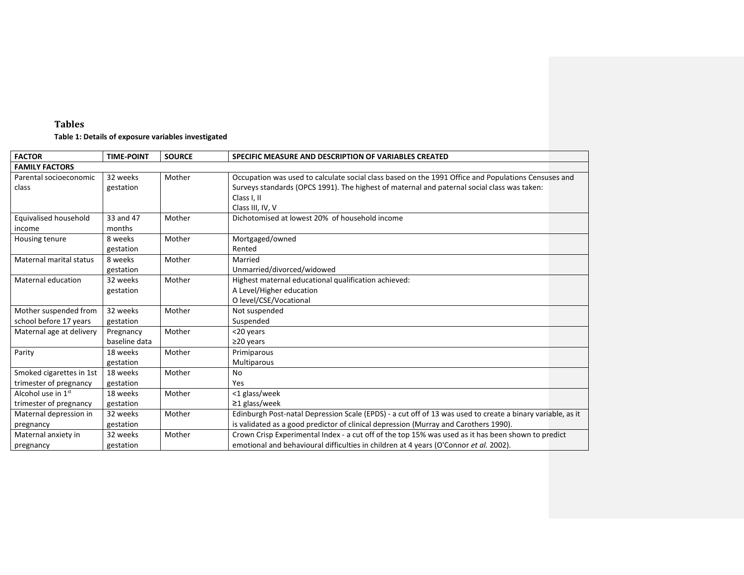# **Tables Table 1: Details of exposure variables investigated**

| <b>FACTOR</b>                                            | <b>TIME-POINT</b>          | <b>SOURCE</b> | SPECIFIC MEASURE AND DESCRIPTION OF VARIABLES CREATED                                                                                                                                                                                 |
|----------------------------------------------------------|----------------------------|---------------|---------------------------------------------------------------------------------------------------------------------------------------------------------------------------------------------------------------------------------------|
| <b>FAMILY FACTORS</b>                                    |                            |               |                                                                                                                                                                                                                                       |
| Parental socioeconomic<br>class                          | 32 weeks<br>gestation      | Mother        | Occupation was used to calculate social class based on the 1991 Office and Populations Censuses and<br>Surveys standards (OPCS 1991). The highest of maternal and paternal social class was taken:<br>Class I, II<br>Class III, IV, V |
| Equivalised household<br>income                          | 33 and 47<br>months        | Mother        | Dichotomised at lowest 20% of household income                                                                                                                                                                                        |
| Housing tenure                                           | 8 weeks<br>gestation       | Mother        | Mortgaged/owned<br>Rented                                                                                                                                                                                                             |
| Maternal marital status                                  | 8 weeks<br>gestation       | Mother        | Married<br>Unmarried/divorced/widowed                                                                                                                                                                                                 |
| Maternal education                                       | 32 weeks<br>gestation      | Mother        | Highest maternal educational qualification achieved:<br>A Level/Higher education<br>O level/CSE/Vocational                                                                                                                            |
| Mother suspended from<br>school before 17 years          | 32 weeks<br>gestation      | Mother        | Not suspended<br>Suspended                                                                                                                                                                                                            |
| Maternal age at delivery                                 | Pregnancy<br>baseline data | Mother        | <20 years<br>$\geq$ 20 years                                                                                                                                                                                                          |
| Parity                                                   | 18 weeks<br>gestation      | Mother        | Primiparous<br>Multiparous                                                                                                                                                                                                            |
| Smoked cigarettes in 1st<br>trimester of pregnancy       | 18 weeks<br>gestation      | Mother        | <b>No</b><br>Yes                                                                                                                                                                                                                      |
| Alcohol use in 1 <sup>st</sup><br>trimester of pregnancy | 18 weeks<br>gestation      | Mother        | <1 glass/week<br>$\geq$ 1 glass/week                                                                                                                                                                                                  |
| Maternal depression in<br>pregnancy                      | 32 weeks<br>gestation      | Mother        | Edinburgh Post-natal Depression Scale (EPDS) - a cut off of 13 was used to create a binary variable, as it<br>is validated as a good predictor of clinical depression (Murray and Carothers 1990).                                    |
| Maternal anxiety in<br>pregnancy                         | 32 weeks<br>gestation      | Mother        | Crown Crisp Experimental Index - a cut off of the top 15% was used as it has been shown to predict<br>emotional and behavioural difficulties in children at 4 years (O'Connor et al. 2002).                                           |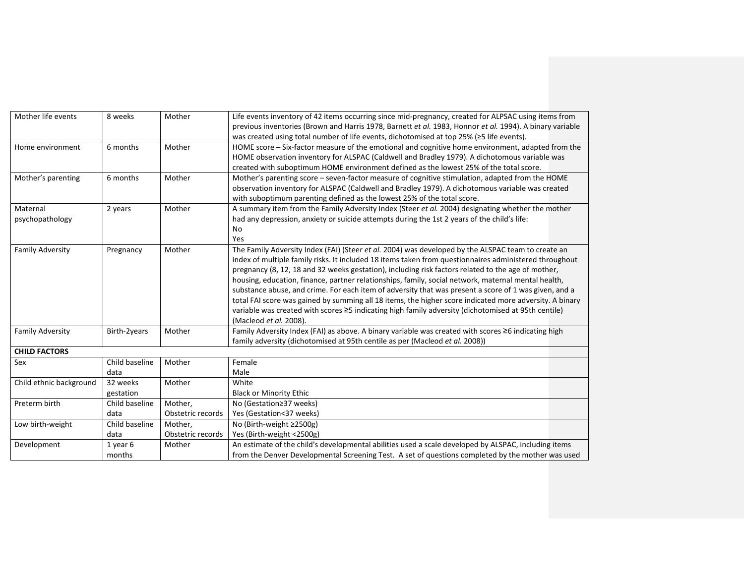| Mother life events      | 8 weeks        | Mother            | Life events inventory of 42 items occurring since mid-pregnancy, created for ALPSAC using items from     |
|-------------------------|----------------|-------------------|----------------------------------------------------------------------------------------------------------|
|                         |                |                   | previous inventories (Brown and Harris 1978, Barnett et al. 1983, Honnor et al. 1994). A binary variable |
|                         |                |                   | was created using total number of life events, dichotomised at top 25% (≥5 life events).                 |
| Home environment        | 6 months       | Mother            | HOME score – Six-factor measure of the emotional and cognitive home environment, adapted from the        |
|                         |                |                   | HOME observation inventory for ALSPAC (Caldwell and Bradley 1979). A dichotomous variable was            |
|                         |                |                   | created with suboptimum HOME environment defined as the lowest 25% of the total score.                   |
| Mother's parenting      | 6 months       | Mother            | Mother's parenting score - seven-factor measure of cognitive stimulation, adapted from the HOME          |
|                         |                |                   | observation inventory for ALSPAC (Caldwell and Bradley 1979). A dichotomous variable was created         |
|                         |                |                   | with suboptimum parenting defined as the lowest 25% of the total score.                                  |
| Maternal                | 2 years        | Mother            | A summary item from the Family Adversity Index (Steer et al. 2004) designating whether the mother        |
| psychopathology         |                |                   | had any depression, anxiety or suicide attempts during the 1st 2 years of the child's life:              |
|                         |                |                   | No                                                                                                       |
|                         |                |                   | Yes                                                                                                      |
| <b>Family Adversity</b> | Pregnancy      | Mother            | The Family Adversity Index (FAI) (Steer et al. 2004) was developed by the ALSPAC team to create an       |
|                         |                |                   | index of multiple family risks. It included 18 items taken from questionnaires administered throughout   |
|                         |                |                   | pregnancy (8, 12, 18 and 32 weeks gestation), including risk factors related to the age of mother,       |
|                         |                |                   | housing, education, finance, partner relationships, family, social network, maternal mental health,      |
|                         |                |                   | substance abuse, and crime. For each item of adversity that was present a score of 1 was given, and a    |
|                         |                |                   | total FAI score was gained by summing all 18 items, the higher score indicated more adversity. A binary  |
|                         |                |                   | variable was created with scores ≥5 indicating high family adversity (dichotomised at 95th centile)      |
|                         |                |                   | (Macleod et al. 2008).                                                                                   |
| <b>Family Adversity</b> | Birth-2years   | Mother            | Family Adversity Index (FAI) as above. A binary variable was created with scores ≥6 indicating high      |
|                         |                |                   | family adversity (dichotomised at 95th centile as per (Macleod et al. 2008))                             |
| <b>CHILD FACTORS</b>    |                |                   |                                                                                                          |
| Sex                     | Child baseline | Mother            | Female                                                                                                   |
|                         | data           |                   | Male                                                                                                     |
| Child ethnic background | 32 weeks       | Mother            | White                                                                                                    |
|                         | gestation      |                   | <b>Black or Minority Ethic</b>                                                                           |
| Preterm birth           | Child baseline | Mother,           | No (Gestation≥37 weeks)                                                                                  |
|                         | data           | Obstetric records | Yes (Gestation<37 weeks)                                                                                 |
| Low birth-weight        | Child baseline | Mother,           | No (Birth-weight ≥2500g)                                                                                 |
|                         | data           | Obstetric records | Yes (Birth-weight <2500g)                                                                                |
| Development             | 1 year 6       | Mother            | An estimate of the child's developmental abilities used a scale developed by ALSPAC, including items     |
|                         | months         |                   | from the Denver Developmental Screening Test. A set of questions completed by the mother was used        |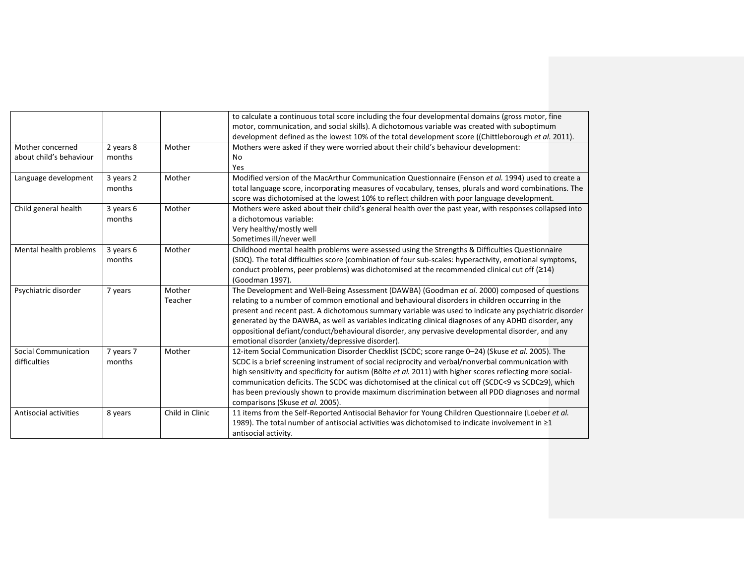|                             |           |                 | to calculate a continuous total score including the four developmental domains (gross motor, fine          |
|-----------------------------|-----------|-----------------|------------------------------------------------------------------------------------------------------------|
|                             |           |                 | motor, communication, and social skills). A dichotomous variable was created with suboptimum               |
|                             |           |                 | development defined as the lowest 10% of the total development score ((Chittleborough et al. 2011).        |
| Mother concerned            | 2 years 8 | Mother          | Mothers were asked if they were worried about their child's behaviour development:                         |
| about child's behaviour     | months    |                 | No                                                                                                         |
|                             |           |                 | Yes                                                                                                        |
| Language development        | 3 years 2 | Mother          | Modified version of the MacArthur Communication Questionnaire (Fenson et al. 1994) used to create a        |
|                             | months    |                 | total language score, incorporating measures of vocabulary, tenses, plurals and word combinations. The     |
|                             |           |                 | score was dichotomised at the lowest 10% to reflect children with poor language development.               |
| Child general health        | 3 years 6 | Mother          | Mothers were asked about their child's general health over the past year, with responses collapsed into    |
|                             | months    |                 | a dichotomous variable:                                                                                    |
|                             |           |                 | Very healthy/mostly well                                                                                   |
|                             |           |                 | Sometimes ill/never well                                                                                   |
| Mental health problems      | 3 years 6 | Mother          | Childhood mental health problems were assessed using the Strengths & Difficulties Questionnaire            |
|                             | months    |                 | (SDQ). The total difficulties score (combination of four sub-scales: hyperactivity, emotional symptoms,    |
|                             |           |                 | conduct problems, peer problems) was dichotomised at the recommended clinical cut off $(≥14)$              |
|                             |           |                 | (Goodman 1997).                                                                                            |
| Psychiatric disorder        | 7 years   | Mother          | The Development and Well-Being Assessment (DAWBA) (Goodman et al. 2000) composed of questions              |
|                             |           | Teacher         | relating to a number of common emotional and behavioural disorders in children occurring in the            |
|                             |           |                 | present and recent past. A dichotomous summary variable was used to indicate any psychiatric disorder      |
|                             |           |                 | generated by the DAWBA, as well as variables indicating clinical diagnoses of any ADHD disorder, any       |
|                             |           |                 | oppositional defiant/conduct/behavioural disorder, any pervasive developmental disorder, and any           |
|                             |           |                 | emotional disorder (anxiety/depressive disorder).                                                          |
| <b>Social Communication</b> | 7 years 7 | Mother          | 12-item Social Communication Disorder Checklist (SCDC; score range 0-24) (Skuse et al. 2005). The          |
| difficulties                | months    |                 | SCDC is a brief screening instrument of social reciprocity and verbal/nonverbal communication with         |
|                             |           |                 | high sensitivity and specificity for autism (Bölte et al. 2011) with higher scores reflecting more social- |
|                             |           |                 | communication deficits. The SCDC was dichotomised at the clinical cut off (SCDC<9 vs SCDC≥9), which        |
|                             |           |                 | has been previously shown to provide maximum discrimination between all PDD diagnoses and normal           |
|                             |           |                 | comparisons (Skuse et al. 2005).                                                                           |
| Antisocial activities       | 8 years   | Child in Clinic | 11 items from the Self-Reported Antisocial Behavior for Young Children Questionnaire (Loeber et al.        |
|                             |           |                 | 1989). The total number of antisocial activities was dichotomised to indicate involvement in ≥1            |
|                             |           |                 | antisocial activity.                                                                                       |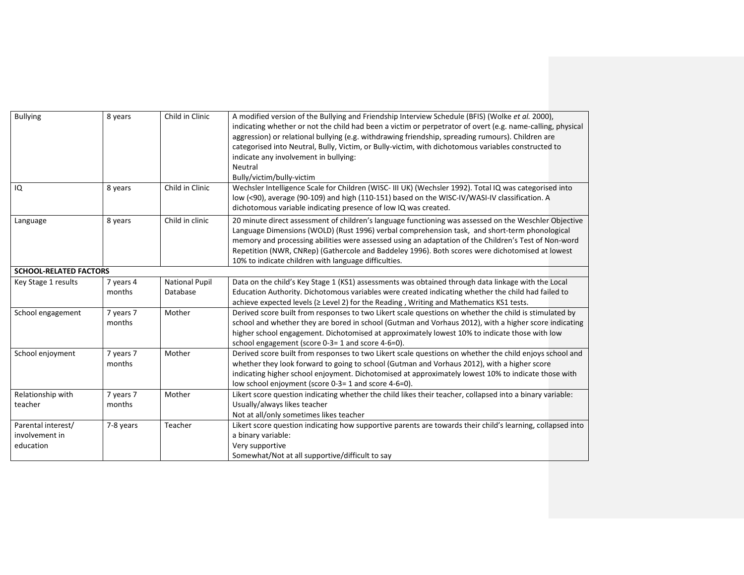| <b>Bullying</b>                                   | 8 years             | Child in Clinic                   | A modified version of the Bullying and Friendship Interview Schedule (BFIS) (Wolke et al. 2000),<br>indicating whether or not the child had been a victim or perpetrator of overt (e.g. name-calling, physical<br>aggression) or relational bullying (e.g. withdrawing friendship, spreading rumours). Children are<br>categorised into Neutral, Bully, Victim, or Bully-victim, with dichotomous variables constructed to<br>indicate any involvement in bullying:<br>Neutral<br>Bully/victim/bully-victim |
|---------------------------------------------------|---------------------|-----------------------------------|-------------------------------------------------------------------------------------------------------------------------------------------------------------------------------------------------------------------------------------------------------------------------------------------------------------------------------------------------------------------------------------------------------------------------------------------------------------------------------------------------------------|
| IQ                                                | 8 years             | Child in Clinic                   | Wechsler Intelligence Scale for Children (WISC- III UK) (Wechsler 1992). Total IQ was categorised into<br>low (<90), average (90-109) and high (110-151) based on the WISC-IV/WASI-IV classification. A<br>dichotomous variable indicating presence of low IQ was created.                                                                                                                                                                                                                                  |
| Language                                          | 8 years             | Child in clinic                   | 20 minute direct assessment of children's language functioning was assessed on the Weschler Objective<br>Language Dimensions (WOLD) (Rust 1996) verbal comprehension task, and short-term phonological<br>memory and processing abilities were assessed using an adaptation of the Children's Test of Non-word<br>Repetition (NWR, CNRep) (Gathercole and Baddeley 1996). Both scores were dichotomised at lowest<br>10% to indicate children with language difficulties.                                   |
| <b>SCHOOL-RELATED FACTORS</b>                     |                     |                                   |                                                                                                                                                                                                                                                                                                                                                                                                                                                                                                             |
| Key Stage 1 results                               | 7 years 4<br>months | <b>National Pupil</b><br>Database | Data on the child's Key Stage 1 (KS1) assessments was obtained through data linkage with the Local<br>Education Authority. Dichotomous variables were created indicating whether the child had failed to<br>achieve expected levels ( $\ge$ Level 2) for the Reading, Writing and Mathematics KS1 tests.                                                                                                                                                                                                    |
| School engagement                                 | 7 years 7<br>months | Mother                            | Derived score built from responses to two Likert scale questions on whether the child is stimulated by<br>school and whether they are bored in school (Gutman and Vorhaus 2012), with a higher score indicating<br>higher school engagement. Dichotomised at approximately lowest 10% to indicate those with low<br>school engagement (score 0-3= 1 and score 4-6=0).                                                                                                                                       |
| School enjoyment                                  | 7 years 7<br>months | Mother                            | Derived score built from responses to two Likert scale questions on whether the child enjoys school and<br>whether they look forward to going to school (Gutman and Vorhaus 2012), with a higher score<br>indicating higher school enjoyment. Dichotomised at approximately lowest 10% to indicate those with<br>low school enjoyment (score 0-3= 1 and score 4-6=0).                                                                                                                                       |
| Relationship with<br>teacher                      | 7 years 7<br>months | Mother                            | Likert score question indicating whether the child likes their teacher, collapsed into a binary variable:<br>Usually/always likes teacher<br>Not at all/only sometimes likes teacher                                                                                                                                                                                                                                                                                                                        |
| Parental interest/<br>involvement in<br>education | 7-8 years           | Teacher                           | Likert score question indicating how supportive parents are towards their child's learning, collapsed into<br>a binary variable:<br>Very supportive<br>Somewhat/Not at all supportive/difficult to say                                                                                                                                                                                                                                                                                                      |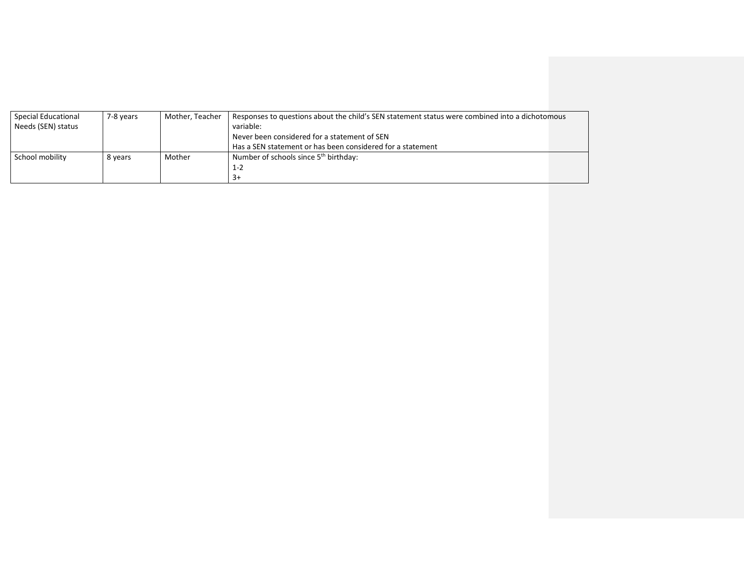| Special Educational | 7-8 years | Mother, Teacher | Responses to questions about the child's SEN statement status were combined into a dichotomous |
|---------------------|-----------|-----------------|------------------------------------------------------------------------------------------------|
| Needs (SEN) status  |           |                 | variable:                                                                                      |
|                     |           |                 | Never been considered for a statement of SEN                                                   |
|                     |           |                 | Has a SEN statement or has been considered for a statement                                     |
| School mobility     | 8 years   | Mother          | Number of schools since 5 <sup>th</sup> birthday:                                              |
|                     |           |                 | $1 - 2$                                                                                        |
|                     |           |                 | $3+$                                                                                           |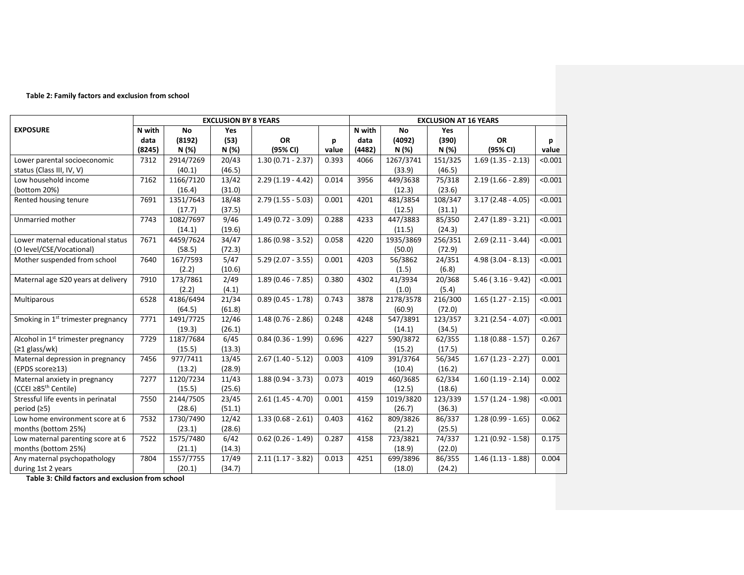## **Table 2: Family factors and exclusion from school**

|                                                | <b>EXCLUSION BY 8 YEARS</b> |           |            |                                |       |        | <b>EXCLUSION AT 16 YEARS</b> |         |                          |         |  |  |
|------------------------------------------------|-----------------------------|-----------|------------|--------------------------------|-------|--------|------------------------------|---------|--------------------------|---------|--|--|
| <b>EXPOSURE</b>                                | N with                      | <b>No</b> | <b>Yes</b> |                                |       | N with | <b>No</b>                    | Yes     |                          |         |  |  |
|                                                | data                        | (8192)    | (53)       | <b>OR</b>                      | p     | data   | (4092)                       | (390)   | <b>OR</b>                | p       |  |  |
|                                                | (8245)                      | N(%)      | N (%)      | (95% CI)                       | value | (4482) | N (%)                        | N (%)   | (95% CI)                 | value   |  |  |
| Lower parental socioeconomic                   | 7312                        | 2914/7269 | 20/43      | $1.30(0.71 - 2.37)$            | 0.393 | 4066   | 1267/3741                    | 151/325 | $1.69(1.35 - 2.13)$      | < 0.001 |  |  |
| status (Class III, IV, V)                      |                             | (40.1)    | (46.5)     |                                |       |        | (33.9)                       | (46.5)  |                          |         |  |  |
| Low household income                           | 7162                        | 1166/7120 | 13/42      | $2.29(1.19 - 4.42)$            | 0.014 | 3956   | 449/3638                     | 75/318  | $2.19(1.66 - 2.89)$      | < 0.001 |  |  |
| (bottom 20%)                                   |                             | (16.4)    | (31.0)     |                                |       |        | (12.3)                       | (23.6)  |                          |         |  |  |
| Rented housing tenure                          | 7691                        | 1351/7643 | 18/48      | $2.79(1.55 - 5.03)$            | 0.001 | 4201   | 481/3854                     | 108/347 | $3.17(2.48 - 4.05)$      | < 0.001 |  |  |
|                                                |                             | (17.7)    | (37.5)     |                                |       |        | (12.5)                       | (31.1)  |                          |         |  |  |
| Unmarried mother                               | 7743                        | 1082/7697 | 9/46       | $1.49(0.72 - 3.09)$            | 0.288 | 4233   | 447/3883                     | 85/350  | $2.47(1.89 - 3.21)$      | < 0.001 |  |  |
|                                                |                             | (14.1)    | (19.6)     |                                |       |        | (11.5)                       | (24.3)  |                          |         |  |  |
| Lower maternal educational status              | 7671                        | 4459/7624 | 34/47      | $1.86(0.98 - 3.52)$            | 0.058 | 4220   | 1935/3869                    | 256/351 | $2.69(2.11 - 3.44)$      | < 0.001 |  |  |
| (O level/CSE/Vocational)                       |                             | (58.5)    | (72.3)     |                                |       |        | (50.0)                       | (72.9)  |                          |         |  |  |
| Mother suspended from school                   | 7640                        | 167/7593  | 5/47       | $5.29(2.07 - 3.55)$            | 0.001 | 4203   | 56/3862                      | 24/351  | $4.98(3.04 - 8.13)$      | < 0.001 |  |  |
|                                                |                             | (2.2)     | (10.6)     |                                |       |        | (1.5)                        | (6.8)   |                          |         |  |  |
| Maternal age ≤20 years at delivery             | 7910                        | 173/7861  | 2/49       | $1.89(0.46 - 7.85)$            | 0.380 | 4302   | 41/3934                      | 20/368  | $5.46$ ( $3.16 - 9.42$ ) | < 0.001 |  |  |
|                                                |                             | (2.2)     | (4.1)      |                                |       |        | (1.0)                        | (5.4)   |                          |         |  |  |
| Multiparous                                    | 6528                        | 4186/6494 | 21/34      | $0.89(0.45 - 1.78)$            | 0.743 | 3878   | 2178/3578                    | 216/300 | $1.65(1.27 - 2.15)$      | < 0.001 |  |  |
|                                                |                             | (64.5)    | (61.8)     |                                |       |        | (60.9)                       | (72.0)  |                          |         |  |  |
| Smoking in 1 <sup>st</sup> trimester pregnancy | 7771                        | 1491/7725 | 12/46      | $1.48(0.76 - 2.86)$            | 0.248 | 4248   | 547/3891                     | 123/357 | $3.21(2.54 - 4.07)$      | < 0.001 |  |  |
|                                                |                             | (19.3)    | (26.1)     |                                |       |        | (14.1)                       | (34.5)  |                          |         |  |  |
| Alcohol in 1 <sup>st</sup> trimester pregnancy | 7729                        | 1187/7684 | 6/45       | $0.84(0.36 - 1.99)$            | 0.696 | 4227   | 590/3872                     | 62/355  | $1.18(0.88 - 1.57)$      | 0.267   |  |  |
| $(≥1$ glass/wk)                                |                             | (15.5)    | (13.3)     |                                |       |        | (15.2)                       | (17.5)  |                          |         |  |  |
| Maternal depression in pregnancy               | 7456                        | 977/7411  | 13/45      | $2.67(1.40 - 5.12)$            | 0.003 | 4109   | 391/3764                     | 56/345  | $1.67(1.23 - 2.27)$      | 0.001   |  |  |
| (EPDS score≥13)                                |                             | (13.2)    | (28.9)     |                                |       |        | (10.4)                       | (16.2)  |                          |         |  |  |
| Maternal anxiety in pregnancy                  | 7277                        | 1120/7234 | 11/43      | $\overline{1.88(0.94 - 3.73)}$ | 0.073 | 4019   | 460/3685                     | 62/334  | $1.60(1.19 - 2.14)$      | 0.002   |  |  |
| (CCEI ≥85 <sup>th</sup> Centile)               |                             | (15.5)    | (25.6)     |                                |       |        | (12.5)                       | (18.6)  |                          |         |  |  |
| Stressful life events in perinatal             | 7550                        | 2144/7505 | 23/45      | $2.61(1.45 - 4.70)$            | 0.001 | 4159   | 1019/3820                    | 123/339 | $1.57(1.24 - 1.98)$      | < 0.001 |  |  |
| period (≥5)                                    |                             | (28.6)    | (51.1)     |                                |       |        | (26.7)                       | (36.3)  |                          |         |  |  |
| Low home environment score at 6                | 7532                        | 1730/7490 | 12/42      | $1.33(0.68 - 2.61)$            | 0.403 | 4162   | 809/3826                     | 86/337  | $1.28(0.99 - 1.65)$      | 0.062   |  |  |
| months (bottom 25%)                            |                             | (23.1)    | (28.6)     |                                |       |        | (21.2)                       | (25.5)  |                          |         |  |  |
| Low maternal parenting score at 6              | 7522                        | 1575/7480 | 6/42       | $0.62$ (0.26 - 1.49)           | 0.287 | 4158   | 723/3821                     | 74/337  | $1.21(0.92 - 1.58)$      | 0.175   |  |  |
| months (bottom 25%)                            |                             | (21.1)    | (14.3)     |                                |       |        | (18.9)                       | (22.0)  |                          |         |  |  |
| Any maternal psychopathology                   | 7804                        | 1557/7755 | 17/49      | $2.11(1.17 - 3.82)$            | 0.013 | 4251   | 699/3896                     | 86/355  | $1.46(1.13 - 1.88)$      | 0.004   |  |  |
| during 1st 2 years                             |                             | (20.1)    | (34.7)     |                                |       |        | (18.0)                       | (24.2)  |                          |         |  |  |

**Table 3: Child factors and exclusion from school**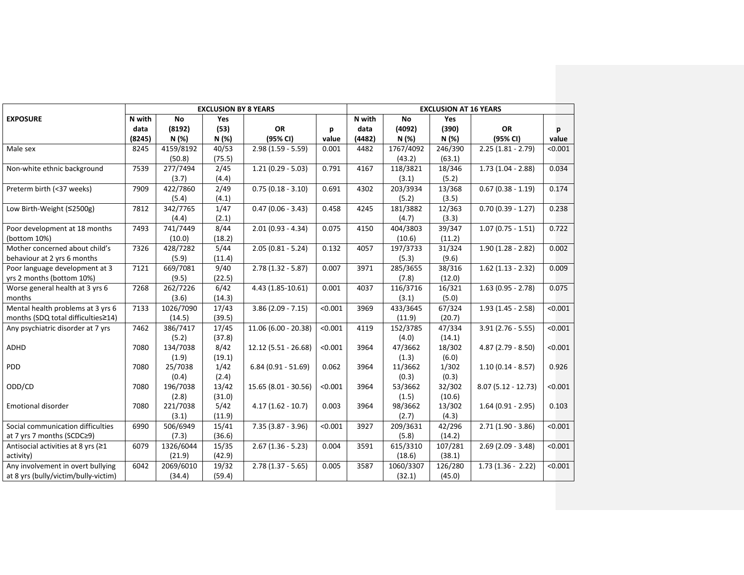|                                      |        |           | <b>EXCLUSION BY 8 YEARS</b> |                       | <b>EXCLUSION AT 16 YEARS</b> |        |           |            |                                 |         |
|--------------------------------------|--------|-----------|-----------------------------|-----------------------|------------------------------|--------|-----------|------------|---------------------------------|---------|
| <b>EXPOSURE</b>                      | N with | <b>No</b> | <b>Yes</b>                  |                       |                              | N with | <b>No</b> | <b>Yes</b> |                                 |         |
|                                      | data   | (8192)    | (53)                        | OR                    | р                            | data   | (4092)    | (390)      | <b>OR</b>                       | D       |
|                                      | (8245) | N (%)     | N (%)                       | (95% CI)              | value                        | (4482) | N (%)     | N (%)      | (95% CI)                        | value   |
| Male sex                             | 8245   | 4159/8192 | 40/53                       | $2.98(1.59 - 5.59)$   | 0.001                        | 4482   | 1767/4092 | 246/390    | $2.25(1.81 - 2.79)$             | < 0.001 |
|                                      |        | (50.8)    | (75.5)                      |                       |                              |        | (43.2)    | (63.1)     |                                 |         |
| Non-white ethnic background          | 7539   | 277/7494  | 2/45                        | $1.21(0.29 - 5.03)$   | 0.791                        | 4167   | 118/3821  | 18/346     | $1.73(1.04 - 2.88)$             | 0.034   |
|                                      |        | (3.7)     | (4.4)                       |                       |                              |        | (3.1)     | (5.2)      |                                 |         |
| Preterm birth (<37 weeks)            | 7909   | 422/7860  | 2/49                        | $0.75(0.18 - 3.10)$   | 0.691                        | 4302   | 203/3934  | 13/368     | $0.67(0.38 - 1.19)$             | 0.174   |
|                                      |        | (5.4)     | (4.1)                       |                       |                              |        | (5.2)     | (3.5)      |                                 |         |
| Low Birth-Weight (≤2500g)            | 7812   | 342/7765  | 1/47                        | $0.47(0.06 - 3.43)$   | 0.458                        | 4245   | 181/3882  | 12/363     | $\overline{0.70}$ (0.39 - 1.27) | 0.238   |
|                                      |        | (4.4)     | (2.1)                       |                       |                              |        | (4.7)     | (3.3)      |                                 |         |
| Poor development at 18 months        | 7493   | 741/7449  | 8/44                        | $2.01(0.93 - 4.34)$   | 0.075                        | 4150   | 404/3803  | 39/347     | $\overline{1.07}$ (0.75 - 1.51) | 0.722   |
| (bottom 10%)                         |        | (10.0)    | (18.2)                      |                       |                              |        | (10.6)    | (11.2)     |                                 |         |
| Mother concerned about child's       | 7326   | 428/7282  | 5/44                        | $2.05(0.81 - 5.24)$   | 0.132                        | 4057   | 197/3733  | 31/324     | $1.90(1.28 - 2.82)$             | 0.002   |
| behaviour at 2 yrs 6 months          |        | (5.9)     | (11.4)                      |                       |                              |        | (5.3)     | (9.6)      |                                 |         |
| Poor language development at 3       | 7121   | 669/7081  | 9/40                        | $2.78(1.32 - 5.87)$   | 0.007                        | 3971   | 285/3655  | 38/316     | $1.62$ (1.13 - 2.32)            | 0.009   |
| yrs 2 months (bottom 10%)            |        | (9.5)     | (22.5)                      |                       |                              |        | (7.8)     | (12.0)     |                                 |         |
| Worse general health at 3 yrs 6      | 7268   | 262/7226  | 6/42                        | 4.43 (1.85-10.61)     | 0.001                        | 4037   | 116/3716  | 16/321     | $\overline{1.63}$ (0.95 - 2.78) | 0.075   |
| months                               |        | (3.6)     | (14.3)                      |                       |                              |        | (3.1)     | (5.0)      |                                 |         |
| Mental health problems at 3 yrs 6    | 7133   | 1026/7090 | 17/43                       | $3.86(2.09 - 7.15)$   | < 0.001                      | 3969   | 433/3645  | 67/324     | $1.93(1.45 - 2.58)$             | < 0.001 |
| months (SDQ total difficulties≥14)   |        | (14.5)    | (39.5)                      |                       |                              |        | (11.9)    | (20.7)     |                                 |         |
| Any psychiatric disorder at 7 yrs    | 7462   | 386/7417  | 17/45                       | $11.06(6.00 - 20.38)$ | < 0.001                      | 4119   | 152/3785  | 47/334     | $3.91(2.76 - 5.55)$             | < 0.001 |
|                                      |        | (5.2)     | (37.8)                      |                       |                              |        | (4.0)     | (14.1)     |                                 |         |
| <b>ADHD</b>                          | 7080   | 134/7038  | 8/42                        | 12.12 (5.51 - 26.68)  | < 0.001                      | 3964   | 47/3662   | 18/302     | $4.87(2.79 - 8.50)$             | < 0.001 |
|                                      |        | (1.9)     | (19.1)                      |                       |                              |        | (1.3)     | (6.0)      |                                 |         |
| <b>PDD</b>                           | 7080   | 25/7038   | 1/42                        | $6.84(0.91 - 51.69)$  | 0.062                        | 3964   | 11/3662   | 1/302      | $1.10(0.14 - 8.57)$             | 0.926   |
|                                      |        | (0.4)     | (2.4)                       |                       |                              |        | (0.3)     | (0.3)      |                                 |         |
| ODD/CD                               | 7080   | 196/7038  | 13/42                       | $15.65(8.01 - 30.56)$ | < 0.001                      | 3964   | 53/3662   | 32/302     | $8.07(5.12 - 12.73)$            | < 0.001 |
|                                      |        | (2.8)     | (31.0)                      |                       |                              |        | (1.5)     | (10.6)     |                                 |         |
| Emotional disorder                   | 7080   | 221/7038  | 5/42                        | $4.17(1.62 - 10.7)$   | 0.003                        | 3964   | 98/3662   | 13/302     | $1.64(0.91 - 2.95)$             | 0.103   |
|                                      |        | (3.1)     | (11.9)                      |                       |                              |        | (2.7)     | (4.3)      |                                 |         |
| Social communication difficulties    | 6990   | 506/6949  | 15/41                       | $7.35(3.87 - 3.96)$   | < 0.001                      | 3927   | 209/3631  | 42/296     | $2.71(1.90 - 3.86)$             | < 0.001 |
| at 7 yrs 7 months (SCDC≥9)           |        | (7.3)     | (36.6)                      |                       |                              |        | (5.8)     | (14.2)     |                                 |         |
| Antisocial activities at 8 yrs (≥1   | 6079   | 1326/6044 | 15/35                       | $2.67(1.36 - 5.23)$   | 0.004                        | 3591   | 615/3310  | 107/281    | $2.69(2.09 - 3.48)$             | < 0.001 |
| activity)                            |        | (21.9)    | (42.9)                      |                       |                              |        | (18.6)    | (38.1)     |                                 |         |
| Any involvement in overt bullying    | 6042   | 2069/6010 | 19/32                       | $2.78(1.37 - 5.65)$   | 0.005                        | 3587   | 1060/3307 | 126/280    | $1.73(1.36 - 2.22)$             | < 0.001 |
| at 8 yrs (bully/victim/bully-victim) |        | (34.4)    | (59.4)                      |                       |                              |        | (32.1)    | (45.0)     |                                 |         |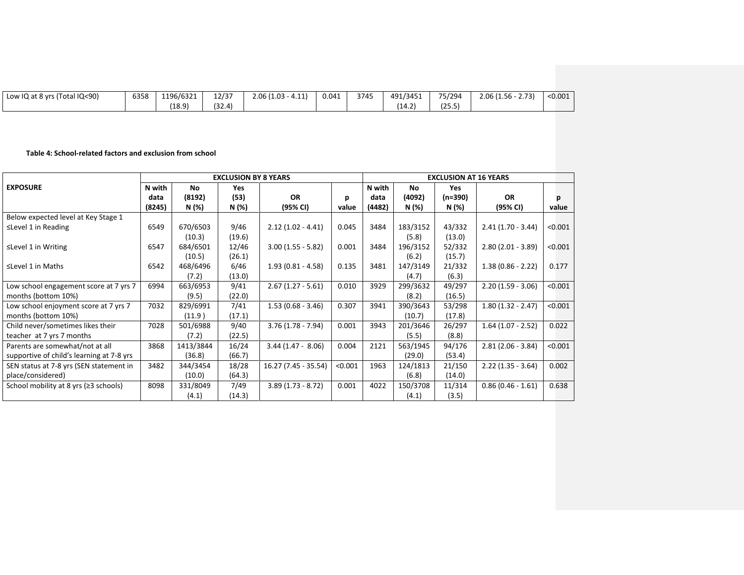| Low $IQ$ at $8$ yrs (Total $IQ < 90$ ) | 6358 | 1196/6321 | 12/37  | $2.06(1.03 - 4.11)$ | 0.041 | 3745 | 491/3451    | 75/294 | $2.06(1.56 - 2.73)$ | < 0.001 |
|----------------------------------------|------|-----------|--------|---------------------|-------|------|-------------|--------|---------------------|---------|
|                                        |      | (18.9)    | (32.4) |                     |       |      | .01<br>14.Z | (25.5) |                     |         |

## **Table 4: School-related factors and exclusion from school**

|                                           |        |           | <b>EXCLUSION BY 8 YEARS</b> |                      | <b>EXCLUSION AT 16 YEARS</b> |        |          |            |                      |         |
|-------------------------------------------|--------|-----------|-----------------------------|----------------------|------------------------------|--------|----------|------------|----------------------|---------|
| <b>EXPOSURE</b>                           | N with | No        | Yes                         |                      |                              | N with | No       | <b>Yes</b> |                      |         |
|                                           | data   | (8192)    | (53)                        | <b>OR</b>            | D                            | data   | (4092)   | (n=390)    | <b>OR</b>            |         |
|                                           | (8245) | N (%)     | N (%)                       | (95% CI)             | value                        | (4482) | N (%)    | N (%)      | (95% CI)             | value   |
| Below expected level at Key Stage 1       |        |           |                             |                      |                              |        |          |            |                      |         |
| $\leq$ Level 1 in Reading                 | 6549   | 670/6503  | 9/46                        | $2.12(1.02 - 4.41)$  | 0.045                        | 3484   | 183/3152 | 43/332     | $2.41(1.70 - 3.44)$  | < 0.001 |
|                                           |        | (10.3)    | (19.6)                      |                      |                              |        | (5.8)    | (13.0)     |                      |         |
| ≤Level 1 in Writing                       | 6547   | 684/6501  | 12/46                       | $3.00(1.55 - 5.82)$  | 0.001                        | 3484   | 196/3152 | 52/332     | $2.80(2.01 - 3.89)$  | < 0.001 |
|                                           |        | (10.5)    | (26.1)                      |                      |                              |        | (6.2)    | (15.7)     |                      |         |
| ≤Level 1 in Maths                         | 6542   | 468/6496  | 6/46                        | $1.93(0.81 - 4.58)$  | 0.135                        | 3481   | 147/3149 | 21/332     | $1.38(0.86 - 2.22)$  | 0.177   |
|                                           |        | (7.2)     | (13.0)                      |                      |                              |        | (4.7)    | (6.3)      |                      |         |
| Low school engagement score at 7 yrs 7    | 6994   | 663/6953  | 9/41                        | $2.67(1.27 - 5.61)$  | 0.010                        | 3929   | 299/3632 | 49/297     | $2.20(1.59 - 3.06)$  | < 0.001 |
| months (bottom 10%)                       |        | (9.5)     | (22.0)                      |                      |                              |        | (8.2)    | (16.5)     |                      |         |
| Low school enjoyment score at 7 yrs 7     | 7032   | 829/6991  | 7/41                        | $1.53(0.68 - 3.46)$  | 0.307                        | 3941   | 390/3643 | 53/298     | $1.80(1.32 - 2.47)$  | < 0.001 |
| months (bottom 10%)                       |        | (11.9)    | (17.1)                      |                      |                              |        | (10.7)   | (17.8)     |                      |         |
| Child never/sometimes likes their         | 7028   | 501/6988  | 9/40                        | $3.76(1.78 - 7.94)$  | 0.001                        | 3943   | 201/3646 | 26/297     | $1.64$ (1.07 - 2.52) | 0.022   |
| teacher at 7 yrs 7 months                 |        | (7.2)     | (22.5)                      |                      |                              |        | (5.5)    | (8.8)      |                      |         |
| Parents are somewhat/not at all           | 3868   | 1413/3844 | 16/24                       | $3.44(1.47 - 8.06)$  | 0.004                        | 2121   | 563/1945 | 94/176     | $2.81(2.06 - 3.84)$  | < 0.001 |
| supportive of child's learning at 7-8 yrs |        | (36.8)    | (66.7)                      |                      |                              |        | (29.0)   | (53.4)     |                      |         |
| SEN status at 7-8 yrs (SEN statement in   | 3482   | 344/3454  | 18/28                       | 16.27 (7.45 - 35.54) | < 0.001                      | 1963   | 124/1813 | 21/150     | $2.22(1.35 - 3.64)$  | 0.002   |
| place/considered)                         |        | (10.0)    | (64.3)                      |                      |                              |        | (6.8)    | (14.0)     |                      |         |
| School mobility at 8 yrs $(≥3$ schools)   | 8098   | 331/8049  | 7/49                        | $3.89(1.73 - 8.72)$  | 0.001                        | 4022   | 150/3708 | 11/314     | $0.86(0.46 - 1.61)$  | 0.638   |
|                                           |        | (4.1)     | (14.3)                      |                      |                              |        | (4.1)    | (3.5)      |                      |         |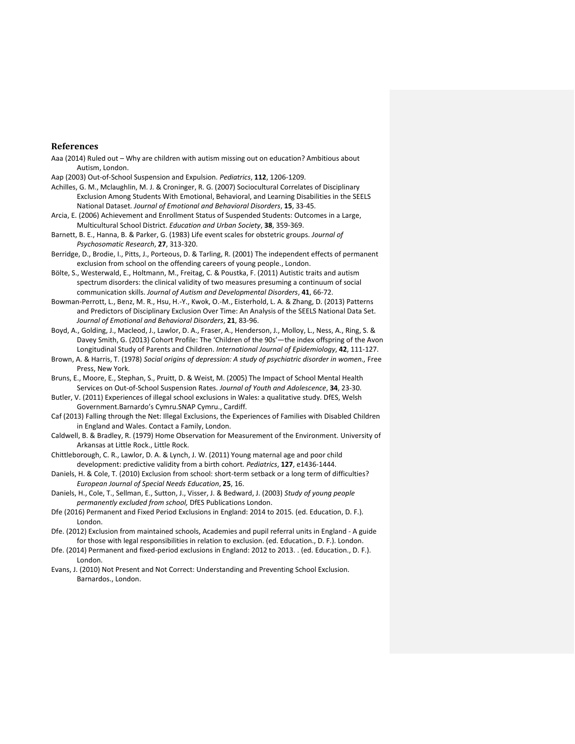## <span id="page-18-20"></span><span id="page-18-17"></span>**References**

- <span id="page-18-10"></span>Aaa (2014) Ruled out – Why are children with autism missing out on education? Ambitious about Autism, London.
- <span id="page-18-16"></span><span id="page-18-15"></span>Aap (2003) Out-of-School Suspension and Expulsion. *Pediatrics*, **112**, 1206-1209.
- <span id="page-18-11"></span>Achilles, G. M., Mclaughlin, M. J. & Croninger, R. G. (2007) Sociocultural Correlates of Disciplinary Exclusion Among Students With Emotional, Behavioral, and Learning Disabilities in the SEELS National Dataset. *Journal of Emotional and Behavioral Disorders*, **15**, 33-45.
- <span id="page-18-2"></span>Arcia, E. (2006) Achievement and Enrollment Status of Suspended Students: Outcomes in a Large, Multicultural School District. *Education and Urban Society*, **38**, 359-369.
- Barnett, B. E., Hanna, B. & Parker, G. (1983) Life event scales for obstetric groups. *Journal of Psychosomatic Research*, **27**, 313-320.
- <span id="page-18-18"></span><span id="page-18-1"></span>Berridge, D., Brodie, I., Pitts, J., Porteous, D. & Tarling, R. (2001) The independent effects of permanent exclusion from school on the offending careers of young people., London.
- <span id="page-18-19"></span>Bölte, S., Westerwald, E., Holtmann, M., Freitag, C. & Poustka, F. (2011) Autistic traits and autism spectrum disorders: the clinical validity of two measures presuming a continuum of social communication skills. *Journal of Autism and Developmental Disorders*, **41**, 66-72.
- <span id="page-18-4"></span>Bowman-Perrott, L., Benz, M. R., Hsu, H.-Y., Kwok, O.-M., Eisterhold, L. A. & Zhang, D. (2013) Patterns and Predictors of Disciplinary Exclusion Over Time: An Analysis of the SEELS National Data Set. *Journal of Emotional and Behavioral Disorders*, **21**, 83-96.
- <span id="page-18-13"></span>Boyd, A., Golding, J., Macleod, J., Lawlor, D. A., Fraser, A., Henderson, J., Molloy, L., Ness, A., Ring, S. & Davey Smith, G. (2013) Cohort Profile: The 'Children of the 90s'—the index offspring of the Avon Longitudinal Study of Parents and Children. *International Journal of Epidemiology*, **42**, 111-127.
- Brown, A. & Harris, T. (1978) *Social origins of depression: A study of psychiatric disorder in women.,* Free Press, New York.
- <span id="page-18-12"></span>Bruns, E., Moore, E., Stephan, S., Pruitt, D. & Weist, M. (2005) The Impact of School Mental Health Services on Out-of-School Suspension Rates. *Journal of Youth and Adolescence*, **34**, 23-30.
- <span id="page-18-8"></span>Butler, V. (2011) Experiences of illegal school exclusions in Wales: a qualitative study. DfES, Welsh Government.Barnardo's Cymru.SNAP Cymru., Cardiff.
- <span id="page-18-9"></span>Caf (2013) Falling through the Net: Illegal Exclusions, the Experiences of Families with Disabled Children in England and Wales. Contact a Family, London.
- Caldwell, B. & Bradley, R. (1979) Home Observation for Measurement of the Environment. University of Arkansas at Little Rock., Little Rock.
- Chittleborough, C. R., Lawlor, D. A. & Lynch, J. W. (2011) Young maternal age and poor child development: predictive validity from a birth cohort. *Pediatrics*, **127**, e1436-1444.
- <span id="page-18-0"></span>Daniels, H. & Cole, T. (2010) Exclusion from school: short-term setback or a long term of difficulties? *European Journal of Special Needs Education*, **25**, 16.
- <span id="page-18-14"></span>Daniels, H., Cole, T., Sellman, E., Sutton, J., Visser, J. & Bedward, J. (2003) *Study of young people permanently excluded from school,* DfES Publications London.
- <span id="page-18-3"></span>Dfe (2016) Permanent and Fixed Period Exclusions in England: 2014 to 2015. (ed. Education, D. F.). London.
- <span id="page-18-5"></span>Dfe. (2012) Exclusion from maintained schools, Academies and pupil referral units in England - A guide for those with legal responsibilities in relation to exclusion. (ed. Education., D. F.). London.
- <span id="page-18-6"></span>Dfe. (2014) Permanent and fixed-period exclusions in England: 2012 to 2013. . (ed. Education., D. F.). London.
- <span id="page-18-7"></span>Evans, J. (2010) Not Present and Not Correct: Understanding and Preventing School Exclusion. Barnardos., London.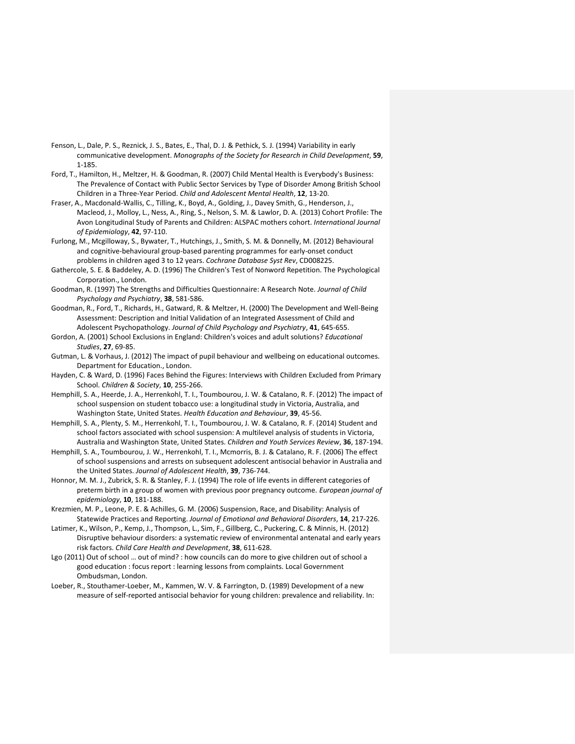- <span id="page-19-16"></span><span id="page-19-14"></span><span id="page-19-13"></span><span id="page-19-12"></span>Fenson, L., Dale, P. S., Reznick, J. S., Bates, E., Thal, D. J. & Pethick, S. J. (1994) Variability in early communicative development. *Monographs of the Society for Research in Child Development*, **59**, 1-185.
- <span id="page-19-17"></span><span id="page-19-9"></span>Ford, T., Hamilton, H., Meltzer, H. & Goodman, R. (2007) Child Mental Health is Everybody's Business: The Prevalence of Contact with Public Sector Services by Type of Disorder Among British School Children in a Three‐Year Period. *Child and Adolescent Mental Health*, **12**, 13-20.
- <span id="page-19-5"></span>Fraser, A., Macdonald-Wallis, C., Tilling, K., Boyd, A., Golding, J., Davey Smith, G., Henderson, J., Macleod, J., Molloy, L., Ness, A., Ring, S., Nelson, S. M. & Lawlor, D. A. (2013) Cohort Profile: The Avon Longitudinal Study of Parents and Children: ALSPAC mothers cohort. *International Journal of Epidemiology*, **42**, 97-110.
- <span id="page-19-10"></span>Furlong, M., Mcgilloway, S., Bywater, T., Hutchings, J., Smith, S. M. & Donnelly, M. (2012) Behavioural and cognitive-behavioural group-based parenting programmes for early-onset conduct problems in children aged 3 to 12 years. *Cochrane Database Syst Rev*, CD008225.
- Gathercole, S. E. & Baddeley, A. D. (1996) The Children's Test of Nonword Repetition. The Psychological Corporation., London.
- Goodman, R. (1997) The Strengths and Difficulties Questionnaire: A Research Note. *Journal of Child Psychology and Psychiatry*, **38**, 581-586.
- <span id="page-19-11"></span>Goodman, R., Ford, T., Richards, H., Gatward, R. & Meltzer, H. (2000) The Development and Well-Being Assessment: Description and Initial Validation of an Integrated Assessment of Child and Adolescent Psychopathology. *Journal of Child Psychology and Psychiatry*, **41**, 645-655.
- <span id="page-19-8"></span>Gordon, A. (2001) School Exclusions in England: Children's voices and adult solutions? *Educational Studies*, **27**, 69-85.
- Gutman, L. & Vorhaus, J. (2012) The impact of pupil behaviour and wellbeing on educational outcomes. Department for Education., London.
- <span id="page-19-7"></span>Hayden, C. & Ward, D. (1996) Faces Behind the Figures: Interviews with Children Excluded from Primary School. *Children & Society*, **10**, 255-266.
- <span id="page-19-0"></span>Hemphill, S. A., Heerde, J. A., Herrenkohl, T. I., Toumbourou, J. W. & Catalano, R. F. (2012) The impact of school suspension on student tobacco use: a longitudinal study in Victoria, Australia, and Washington State, United States. *Health Education and Behaviour*, **39**, 45-56.
- <span id="page-19-15"></span><span id="page-19-4"></span>Hemphill, S. A., Plenty, S. M., Herrenkohl, T. I., Toumbourou, J. W. & Catalano, R. F. (2014) Student and school factors associated with school suspension: A multilevel analysis of students in Victoria, Australia and Washington State, United States. *Children and Youth Services Review*, **36**, 187-194.
- <span id="page-19-1"></span>Hemphill, S. A., Toumbourou, J. W., Herrenkohl, T. I., Mcmorris, B. J. & Catalano, R. F. (2006) The effect of school suspensions and arrests on subsequent adolescent antisocial behavior in Australia and the United States. *Journal of Adolescent Health*, **39**, 736-744.
- Honnor, M. M. J., Zubrick, S. R. & Stanley, F. J. (1994) The role of life events in different categories of preterm birth in a group of women with previous poor pregnancy outcome. *European journal of epidemiology*, **10**, 181-188.
- <span id="page-19-2"></span>Krezmien, M. P., Leone, P. E. & Achilles, G. M. (2006) Suspension, Race, and Disability: Analysis of Statewide Practices and Reporting. *Journal of Emotional and Behavioral Disorders*, **14**, 217-226.
- <span id="page-19-6"></span>Latimer, K., Wilson, P., Kemp, J., Thompson, L., Sim, F., Gillberg, C., Puckering, C. & Minnis, H. (2012) Disruptive behaviour disorders: a systematic review of environmental antenatal and early years risk factors. *Child Care Health and Development*, **38**, 611-628.
- <span id="page-19-3"></span>Lgo (2011) Out of school … out of mind? : how councils can do more to give children out of school a good education : focus report : learning lessons from complaints. Local Government Ombudsman, London.
- Loeber, R., Stouthamer-Loeber, M., Kammen, W. V. & Farrington, D. (1989) Development of a new measure of self-reported antisocial behavior for young children: prevalence and reliability. In: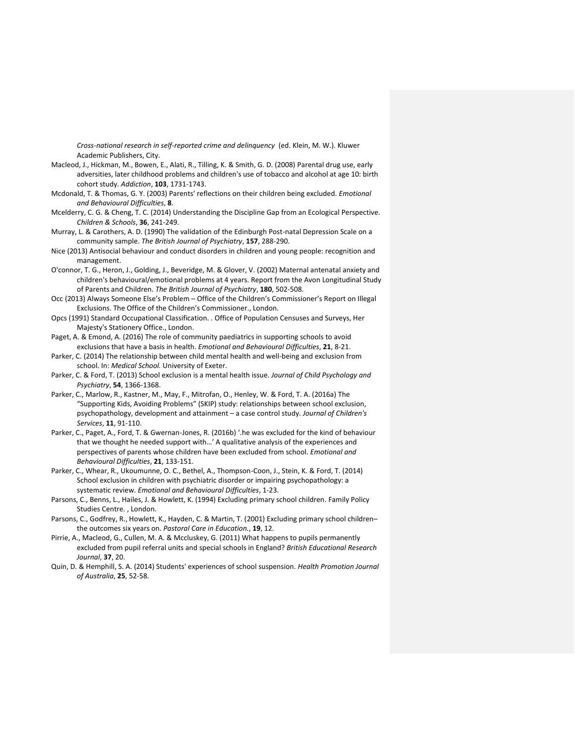<span id="page-20-17"></span><span id="page-20-16"></span><span id="page-20-15"></span><span id="page-20-14"></span>*Cross-national research in self-reported crime and delinquency* (ed. Klein, M. W.). Kluwer Academic Publishers, City.

- Macleod, J., Hickman, M., Bowen, E., Alati, R., Tilling, K. & Smith, G. D. (2008) Parental drug use, early adversities, later childhood problems and children's use of tobacco and alcohol at age 10: birth cohort study. *Addiction*, **103**, 1731-1743.
- <span id="page-20-1"></span>Mcdonald, T. & Thomas, G. Y. (2003) Parents' reflections on their children being excluded. *Emotional and Behavioural Difficulties*, **8**.
- <span id="page-20-9"></span>Mcelderry, C. G. & Cheng, T. C. (2014) Understanding the Discipline Gap from an Ecological Perspective. *Children & Schools*, **36**, 241-249.
- Murray, L. & Carothers, A. D. (1990) The validation of the Edinburgh Post-natal Depression Scale on a community sample. *The British Journal of Psychiatry*, **157**, 288-290.
- <span id="page-20-12"></span>Nice (2013) Antisocial behaviour and conduct disorders in children and young people: recognition and management.
- O'connor, T. G., Heron, J., Golding, J., Beveridge, M. & Glover, V. (2002) Maternal antenatal anxiety and children's behavioural/emotional problems at 4 years. Report from the Avon Longitudinal Study of Parents and Children. *The British Journal of Psychiatry*, **180**, 502-508.
- <span id="page-20-7"></span>Occ (2013) Always Someone Else's Problem – Office of the Children's Commissioner's Report on Illegal Exclusions. The Office of the Children's Commissioner., London.
- Opcs (1991) Standard Occupational Classification. . Office of Population Censuses and Surveys, Her Majesty's Stationery Office., London.
- <span id="page-20-11"></span>Paget, A. & Emond, A. (2016) The role of community paediatrics in supporting schools to avoid exclusions that have a basis in health. *Emotional and Behavioural Difficulties*, **21**, 8-21.
- <span id="page-20-13"></span>Parker, C. (2014) The relationship between child mental health and well-being and exclusion from school. In: *Medical School.* University of Exeter.
- <span id="page-20-0"></span>Parker, C. & Ford, T. (2013) School exclusion is a mental health issue. *Journal of Child Psychology and Psychiatry*, **54**, 1366-1368.
- <span id="page-20-6"></span>Parker, C., Marlow, R., Kastner, M., May, F., Mitrofan, O., Henley, W. & Ford, T. A. (2016a) The "Supporting Kids, Avoiding Problems" (SKIP) study: relationships between school exclusion, psychopathology, development and attainment – a case control study. *Journal of Children's Services*, **11**, 91-110.
- <span id="page-20-2"></span>Parker, C., Paget, A., Ford, T. & Gwernan-Jones, R. (2016b) '.he was excluded for the kind of behaviour that we thought he needed support with…' A qualitative analysis of the experiences and perspectives of parents whose children have been excluded from school. *Emotional and Behavioural Difficulties*, **21**, 133-151.
- <span id="page-20-8"></span>Parker, C., Whear, R., Ukoumunne, O. C., Bethel, A., Thompson-Coon, J., Stein, K. & Ford, T. (2014) School exclusion in children with psychiatric disorder or impairing psychopathology: a systematic review. *Emotional and Behavioural Difficulties*, 1-23.
- <span id="page-20-10"></span>Parsons, C., Benns, L., Hailes, J. & Howlett, K. (1994) Excluding primary school children. Family Policy Studies Centre. , London.
- <span id="page-20-4"></span>Parsons, C., Godfrey, R., Howlett, K., Hayden, C. & Martin, T. (2001) Excluding primary school children– the outcomes six years on. *Pastoral Care in Education.*, **19**, 12.
- <span id="page-20-5"></span>Pirrie, A., Macleod, G., Cullen, M. A. & Mccluskey, G. (2011) What happens to pupils permanently excluded from pupil referral units and special schools in England? *British Educational Research Journal*, **37**, 20.
- <span id="page-20-3"></span>Quin, D. & Hemphill, S. A. (2014) Students' experiences of school suspension. *Health Promotion Journal of Australia*, **25**, 52-58.